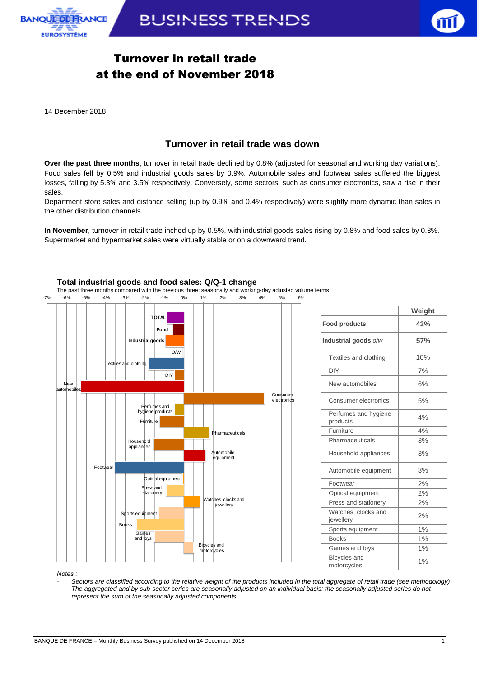



## Turnover in retail trade at the end of November 2018

14 December 2018

## **Turnover in retail trade was down**

**Over the past three months**, turnover in retail trade declined by 0.8% (adjusted for seasonal and working day variations). Food sales fell by 0.5% and industrial goods sales by 0.9%. Automobile sales and footwear sales suffered the biggest losses, falling by 5.3% and 3.5% respectively. Conversely, some sectors, such as consumer electronics, saw a rise in their sales.

Department store sales and distance selling (up by 0.9% and 0.4% respectively) were slightly more dynamic than sales in the other distribution channels.

**In November**, turnover in retail trade inched up by 0.5%, with industrial goods sales rising by 0.8% and food sales by 0.3%. Supermarket and hypermarket sales were virtually stable or on a downward trend.



|                                    | Weight |
|------------------------------------|--------|
| <b>Food products</b>               | 43%    |
| Industrial goods o/w               | 57%    |
| Textiles and clothing              | 10%    |
| <b>DIY</b>                         | 7%     |
| New automobiles                    | 6%     |
| Consumer electronics               | 5%     |
| Perfumes and hygiene<br>products   | 4%     |
| Furniture                          | 4%     |
| Pharmaceuticals                    | 3%     |
| Household appliances               | 3%     |
| Automobile equipment               | 3%     |
| Footwear                           | 2%     |
| Optical equipment                  | 2%     |
| Press and stationery               | 2%     |
| Watches, clocks and<br>jewellery   | 2%     |
| Sports equipment                   | 1%     |
| <b>Books</b>                       | 1%     |
| Games and toys                     | 1%     |
| <b>Bicycles</b> and<br>motorcycles | 1%     |

*Notes :* 

- *- Sectors are classified according to the relative weight of the products included in the total aggregate of retail trade (see methodology)*
- *- The aggregated and by sub-sector series are seasonally adjusted on an individual basis: the seasonally adjusted series do not represent the sum of the seasonally adjusted components.*